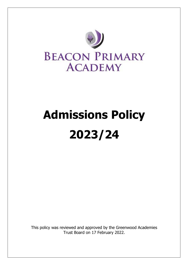

# **Admissions Policy 2023/24**

This policy was reviewed and approved by the Greenwood Academies Trust Board on 17 February 2022.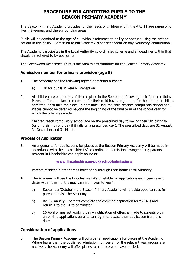# **PROCEDURE FOR ADMITTING PUPILS TO THE BEACON PRIMARY ACADEMY**

The Beacon Primary Academy provides for the needs of children within the 4 to 11 age range who live in Skegness and the surrounding areas.

Pupils will be admitted at the age of 4+ without reference to ability or aptitude using the criteria set out in this policy. Admission to our Academy is not dependent on any 'voluntary' contribution.

The Academy participates in the Local Authority co-ordinated scheme and all deadlines within that should be adhered to by applicants.

The Greenwood Academies Trust is the Admissions Authority for the Beacon Primary Academy.

# **Admission number for primary provision (age 5)**

- 1. The Academy has the following agreed admission numbers:
	- a) 30 for pupils in Year R (Reception)
- 2. All children are entitled to a full-time place in the September following their fourth birthday. Parents offered a place in reception for their child have a right to defer the date their child is admitted, or to take the place up part-time, until the child reaches compulsory school age. Places cannot be deferred beyond the beginning of the final term of the school year for which the offer was made.

Children reach compulsory school age on the prescribed day following their 5th birthday (or on their fifth birthday if it falls on a prescribed day). The prescribed days are 31 August, 31 December and 31 March.

# **Process of Application**

3. Arrangements for applications for places at the Beacon Primary Academy will be made in accordance with the Lincolnshire LA's co-ordinated admission arrangements; parents resident in Lincolnshire can apply online at:

#### **[www.lincolnshire.gov.uk/schooladmissions](http://www.lincolnshire.gov.uk/schooladmissions)**

Parents resident in other areas must apply through their home Local Authority.

- 4. The Academy will use the Lincolnshire LA's timetable for applications each year (exact dates within the months may vary from year to year).
	- a) September/October the Beacon Primary Academy will provide opportunities for parents to visit the Academy
	- b) By 15 January parents complete the common application form (CAF) and return it to the LA to administer
	- c) 16 April or nearest working day notification of offers is made to parents or, if an on-line application, parents can log in to access their application from this date

# **Consideration of applications**

5. The Beacon Primary Academy will consider all applications for places at the Academy. Where fewer than the published admission number(s) for the relevant year groups are received, the Academy will offer places to all those who have applied.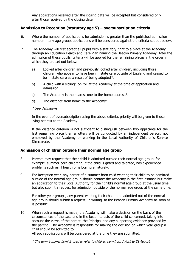Any applications received after the closing date will be accepted but considered only after those received by the closing date.

# **Admission to Reception (statutory age 5) – oversubscription criteria**

- 6. Where the number of applications for admission is greater than the published admission number in any age group, applications will be considered against the criteria set out below.
- 7. The Academy will first accept all pupils with a statutory right to a place at the Academy through an Education Health and Care Plan naming the Beacon Primary Academy. After the admission of these pupils, criteria will be applied for the remaining places in the order in which they are set out below:
	- a) Looked after children and previously looked after children, including those children who appear to have been in state care outside of England and ceased to be in state care as a result of being adopted\*.
	- b) A child with a sibling\* on roll at the Academy at the time of application and admission.
	- c) The Academy is the nearest one to the home address\*.
	- d) The distance from home to the Academy\*.

#### \* See definitions

In the event of oversubscription using the above criteria, priority will be given to those living nearest to the Academy.

If the distance criterion is not sufficient to distinguish between two applicants for the last remaining place then a lottery will be conducted by an independent person, not employed by the Academy or working in the Local Authority of Children's Service Directorate.

#### **Admission of children outside their normal age group**

- 8. Parents may request that their child is admitted outside their normal age group, for example, summer born children\*, if the child is gifted and talented, has experienced problems such as ill health or is born prematurely.
- 9. For Reception year, any parent of a summer born child wanting their child to be admitted outside of the normal age group should contact the Academy in the first instance but make an application to their Local Authority for their child's normal age group at the usual time but also submit a request for admission outside of the normal age group at the same time.

For other year groups, any parent wanting their child to be admitted out of the normal age group should submit a request, in writing, to the Beacon Primary Academy as soon as is possible.

10. When such a request is made, the Academy will make a decision on the basis of the circumstances of the case and in the best interests of the child concerned, taking into account the views of the parent, the Principal and any supporting evidence provided by the parent. The Academy is responsible for making the decision on which year group a child should be admitted to.

All such applications will be considered at the time they are submitted.

\* The term 'summer born' is used to refer to children born from 1 April to 31 August.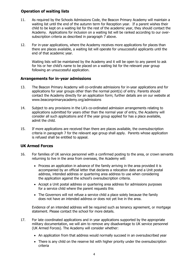# **Operation of waiting lists**

- 11. As required by the Schools Admissions Code, the Beacon Primary Academy will maintain a waiting list until the end of the autumn term for Reception year. If a parent wishes their child to be kept on a waiting list for the rest of the academic year, they should contact the Academy. Applications for inclusion on a waiting list will be ranked according to our oversubscription criteria as described in paragraph 7 above.
- 12. For in-year applications, where the Academy receives more applications for places than there are places available, a waiting list will operate for unsuccessful applicants until the end of that academic year.

Waiting lists will be maintained by the Academy and it will be open to any parent to ask for his or her child's name to be placed on a waiting list for the relevant year group following an unsuccessful application.

# **Arrangements for in-year admissions**

- 13. The Beacon Primary Academy will co-ordinate admissions for in-year applications and for applications for year groups other than the normal point(s) of entry. Parents should contact the Academy directly for an application form; further details are on our website at www.beaconprimaryacademy.org/admissions
- 14. Subject to any provisions in the LA's co-ordinated admission arrangements relating to applications submitted for years other than the normal year of entry, the Academy will consider all such applications and if the year group applied for has a place available, admit the child.
- 15. If more applications are received than there are places available, the oversubscription criteria in paragraph 7 for the relevant age group shall apply. Parents whose application is refused shall be entitled to appeal.

# **UK Armed Forces**

- 16. For families of UK service personnel with a confirmed posting to the area, or crown servants returning to live in the area from overseas, the Academy will:
	- Process an application in advance of the family arriving in the area provided it is accompanied by an official letter that declares a relocation date and a Unit postal address, intended address or quartering area address to use when considering the application against the school's oversubscription criteria.
	- Accept a Unit postal address or quartering area address for admissions purposes for a service child where the parent requests this
	- The Governors will not refuse a service child a place solely because the family does not have an intended address or does not yet live in the area.

Evidence of an intended address will be required such as tenancy agreement, or mortgage statement. Please contact the school for more details.

- 17. For late coordinated applications and in year applications supported by the appropriate military documentation, we will aim to remove any disadvantage to UK service personnel (UK Armed Forces). The Academy will consider whether:
	- An application from that address would normally succeed in an oversubscribed year
	- There is any child on the reserve list with higher priority under the oversubscription criteria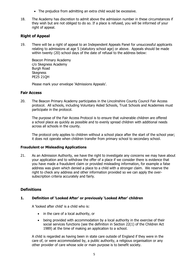- The prejudice from admitting an extra child would be excessive.
- 18. The Academy has discretion to admit above the admission number in these circumstances if they wish but are not obliged to do so. If a place is refused, you will be informed of your right of appeal.

# **Right of Appeal**

19. There will be a right of appeal to an Independent Appeals Panel for unsuccessful applicants relating to admissions at age 5 (statutory school age) or above. Appeals should be made within twenty (20) school days of the date of refusal to the address below:

Beacon Primary Academy c/o Skegness Academy Burgh Road **Skegness** PE25 21QH

Please mark your envelope 'Admissions Appeals'.

#### **Fair Access**

20. The Beacon Primary Academy participates in the Lincolnshire County Council Fair Access protocol. All schools, including Voluntary Aided Schools, Trust Schools and Academies must participate in the protocol.

The purpose of the Fair Access Protocol is to ensure that vulnerable children are offered a school place as quickly as possible and to evenly spread children with additional needs across all schools in the county.

The protocol only applies to children without a school place after the start of the school year; it does not operate when children transfer from primary school to secondary school.

#### **Fraudulent or Misleading Applications**

21. As an Admission Authority, we have the right to investigate any concerns we may have about your application and to withdraw the offer of a place if we consider there is evidence that you have made a fraudulent claim or provided misleading information, for example a false address was given which denied a place to a child with a stronger claim. We reserve the right to check any address and other information provided so we can apply the oversubscription criteria accurately and fairly.

# **Definitions**

#### **1. Definition of 'Looked After' or previously 'Looked After' children**

A 'looked after child' is a child who is:

- in the care of a local authority, or
- being provided with accommodation by a local authority in the exercise of their social services functions (see the definition in Section 22(1) of the Children Act 1989) at the time of making an application to a school.

A child is regarded as having been in state care outside of England if they were in the care of, or were accommodated by, a public authority, a religious organisation or any other provider of care whose sole or main purpose is to benefit society.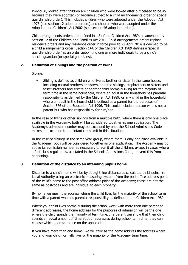Previously looked after children are children who were looked after but ceased to be so because they were adopted (or became subject to a child arrangements order or special guardianship order). This includes children who were adopted under the Adoption Act 1976 (see section 12 adoption orders) and children who were adopted under the Adoption and Children's Act 2002 (see section 46 adoption orders).

Child arrangements orders are defined in s.8 of the Children Act 1989, as amended by Section 12 of the Children and Families Act 2014. Child arrangements orders replace residence orders and any residence order in force prior to 22 April 2014 is deemed to be a child arrangements order. Section 14A of the Children Act 1989 defines a 'special guardianship order' as an order appointing one or more individuals to be a child's special guardian (or special guardians).

#### **2. Definition of siblings and the position of twins**

Sibling:

Sibling is defined as children who live as brother or sister in the same house, including natural brothers or sisters, adopted siblings, stepbrothers or sisters and foster brothers and sisters or another child normally living for the majority of term time in the same household, where an adult in the household has parental responsibility as defined by the Children Act 1989, or any child in the household where an adult in the household is defined as a parent for the purposes of Section 576 of the Education Act 1996. This could include a person who is not a parent but who has responsibility for him/her.

In the case of twins or other siblings from a multiple birth, where there is only one place available in the Academy, both will be considered together as one application. The Academy's admission number may be exceeded by one; the School Admissions Code makes an exception to the infant class limit in this situation.

In the case of siblings in the same year group, where there is only one place available in the Academy, both will be considered together as one application. The Academy may go above its admission number as necessary to admit all the children, except in cases where infant class regulations, as stated in the Schools Admissions Code, prevent this from happening.

#### **3. Definition of the distance to an intending pupil's home**

Distance to a child's home will be by straight line distance as calculated by Lincolnshire Local Authority using an electronic measuring system, from the post office address point of the child's home to the post office address point of the Academy; these are not the same as postcodes and are individual to each property.

By home we mean the address where the child lives for the majority of the school term time with a parent who has parental responsibility as defined in the Children Act 1989.

Where your child lives normally during the school week with more than one parent at different addresses, the home address for the purposes of admission will be the one where the child spends the majority of term time. If a parent can show that their child spends an equal amount of time at both addresses during school term time, they can choose which address to use on the application.

If you have more than one home, we will take as the home address the address where you and your child normally live for the majority of the Academy term time.